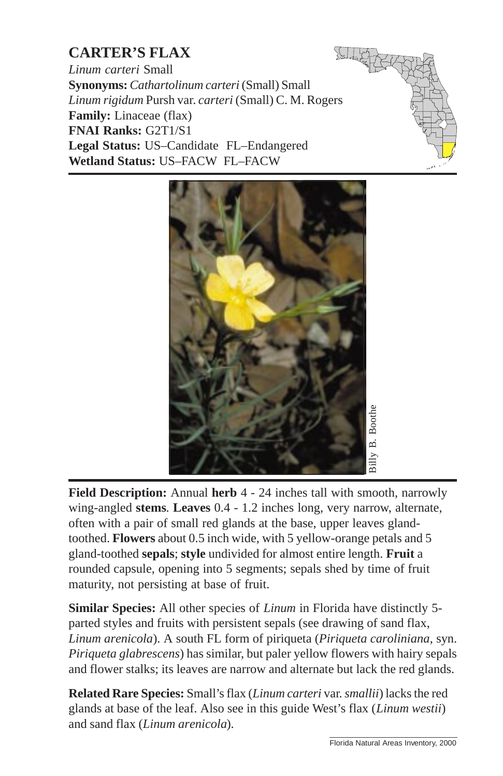## **CARTER'S FLAX**

*Linum carteri* Small **Synonyms:***Cathartolinum carteri* (Small) Small *Linum rigidum* Pursh var. *carteri* (Small) C. M. Rogers **Family:** Linaceae (flax) **FNAI Ranks:** G2T1/S1 **Legal Status:** US–Candidate FL–Endangered **Wetland Status:** US–FACW FL–FACW





**Field Description:** Annual **herb** 4 - 24 inches tall with smooth, narrowly wing-angled **stems**. **Leaves** 0.4 - 1.2 inches long, [very narrow, alternate,](http://www.fnai.org) often with a pair of small red glands at the base, upper leaves glandtoothed. **Flowers** about 0.5 inch wide, with 5 yellow-orange petals and 5 gland-toothed **sepals**; **style** undivided for almost entire length. **Fruit** a rounded capsule, opening into 5 segments; sepals shed by time of fruit maturity, not persisting at base of fruit.

**Similar Species:** All other species of *Linum* in Florida have distinctly 5 parted styles and fruits with persistent sepals (see drawing of sand flax, *Linum arenicola*). A south FL form of piriqueta (*Piriqueta caroliniana*, syn. *Piriqueta glabrescens*) has similar, but paler yellow flowers with hairy sepals and flower stalks; its leaves are narrow and alternate but lack the red glands.

**Related Rare Species:** Small's flax (*Linum carteri* var. *smallii*) lacks the red glands at base of the leaf. Also see in this guide West's flax (*Linum westii*) and sand flax (*Linum arenicola*).